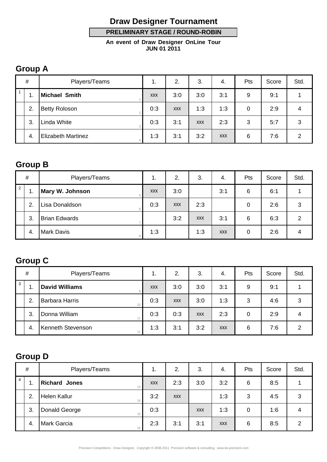# **Draw Designer Tournament**

 **PRELIMINARY STAGE / ROUND-ROBIN** 

**An event of Draw Designer OnLine Tour JUN 01 2011**

#### **Group A**

| $\#$         |     | Players/Teams             |            | 2.         | 3.         | 4.         | Pts | Score | Std. |
|--------------|-----|---------------------------|------------|------------|------------|------------|-----|-------|------|
| $\mathbf{1}$ | ι.  | <b>Michael Smith</b>      | <b>XXX</b> | 3:0        | 3:0        | 3:1        | 9   | 9:1   |      |
|              | 2.  | <b>Betty Roloson</b>      | 0:3        | <b>XXX</b> | 1:3        | 1:3        | 0   | 2:9   | 4    |
|              | 3.  | Linda White               | 0:3        | 3:1        | <b>XXX</b> | 2:3        | 3   | 5:7   | 3    |
|              | -4. | <b>Elizabeth Martinez</b> | 1:3        | 3:1        | 3:2        | <b>XXX</b> | 6   | 7:6   | 2    |

#### **Group B**

| $\#$ |     | Players/Teams          | . .        | 2.         | 3.         | 4.         | Pts | Score | Std. |
|------|-----|------------------------|------------|------------|------------|------------|-----|-------|------|
| 2    | л.  | <b>Mary W. Johnson</b> | <b>XXX</b> | 3:0        |            | 3:1        | 6   | 6:1   |      |
|      | 2.  | Lisa Donaldson         | 0:3        | <b>XXX</b> | 2:3        |            | 0   | 2:6   | 3    |
|      | 3.  | <b>Brian Edwards</b>   |            | 3:2        | <b>XXX</b> | 3:1        | 6   | 6:3   | 2    |
|      | -4. | <b>Mark Davis</b>      | 1:3        |            | 1:3        | <b>XXX</b> | 0   | 2:6   | 4    |

# **Group C**

| $\#$         |     | Players/Teams         | . .        | 2.         | 3.         | 4.         | Pts | Score | Std. |
|--------------|-----|-----------------------|------------|------------|------------|------------|-----|-------|------|
| $\mathbf{3}$ |     | <b>David Williams</b> | <b>XXX</b> | 3:0        | 3:0        | 3:1        | 9   | 9:1   |      |
|              | 2.  | <b>Barbara Harris</b> | 0:3        | <b>XXX</b> | 3:0        | 1:3        | 3   | 4:6   | 3    |
|              | 3.  | Donna William         | 0:3        | 0:3        | <b>XXX</b> | 2:3        | 0   | 2:9   | 4    |
|              | -4. | Kenneth Stevenson     | 1:3        | 3:1        | 3:2        | <b>XXX</b> | 6   | 7:6   | っ    |

# **Group D**

| $\#$           |     | Players/Teams             | 1.         | 2.         | 3.         | 4.         | Pts | Score | Std. |
|----------------|-----|---------------------------|------------|------------|------------|------------|-----|-------|------|
| $\overline{4}$ |     | <b>Richard Jones</b>      | <b>XXX</b> | 2:3        | 3:0        | 3:2        | 6   | 8:5   |      |
|                | 2.  | <b>Helen Kallur</b><br>14 | 3:2        | <b>XXX</b> |            | 1:3        | 3   | 4:5   | 3    |
|                | 3.  | Donald George             | 0:3        |            | <b>XXX</b> | 1:3        | 0   | 1:6   | 4    |
|                | -4. | <b>Mark Garcia</b>        | 2:3        | 3:1        | 3:1        | <b>XXX</b> | 6   | 8:5   | 2    |